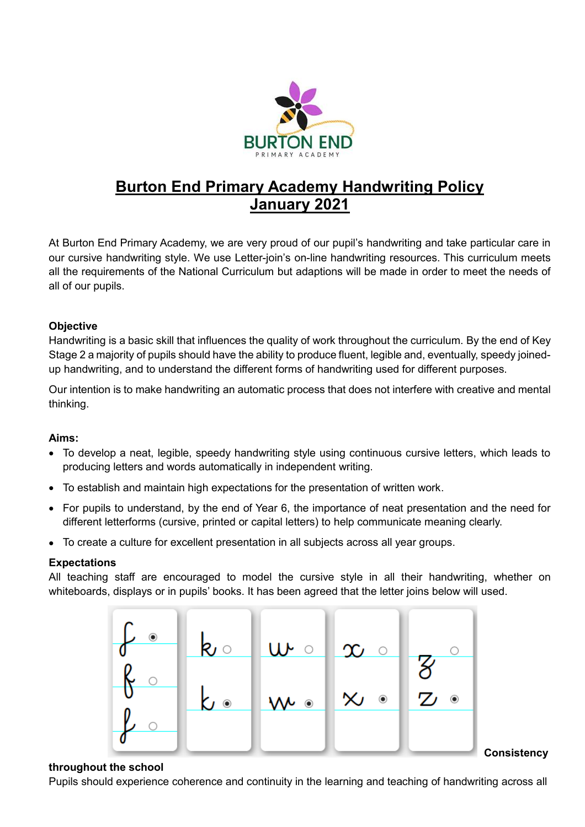

# **Burton End Primary Academy Handwriting Policy January 2021**

At Burton End Primary Academy, we are very proud of our pupil's handwriting and take particular care in our cursive handwriting style. We use Letter-join's on-line handwriting resources. This curriculum meets all the requirements of the National Curriculum but adaptions will be made in order to meet the needs of all of our pupils.

# **Objective**

Handwriting is a basic skill that influences the quality of work throughout the curriculum. By the end of Key Stage 2 a majority of pupils should have the ability to produce fluent, legible and, eventually, speedy joinedup handwriting, and to understand the different forms of handwriting used for different purposes.

Our intention is to make handwriting an automatic process that does not interfere with creative and mental thinking.

# **Aims:**

- To develop a neat, legible, speedy handwriting style using continuous cursive letters, which leads to producing letters and words automatically in independent writing.
- To establish and maintain high expectations for the presentation of written work.
- For pupils to understand, by the end of Year 6, the importance of neat presentation and the need for different letterforms (cursive, printed or capital letters) to help communicate meaning clearly.
- To create a culture for excellent presentation in all subjects across all year groups.

# **Expectations**

All teaching staff are encouraged to model the cursive style in all their handwriting, whether on whiteboards, displays or in pupils' books. It has been agreed that the letter joins below will used.



#### **Consistency**

#### **throughout the school**

Pupils should experience coherence and continuity in the learning and teaching of handwriting across all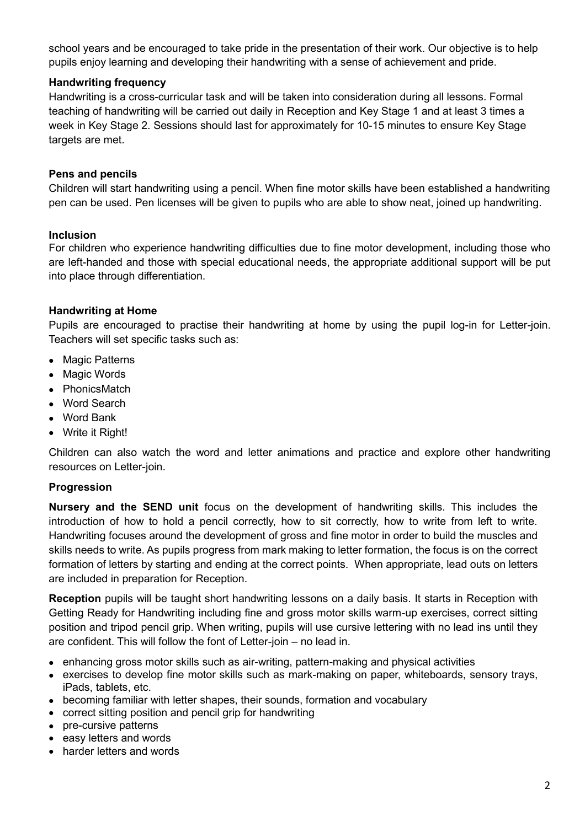school years and be encouraged to take pride in the presentation of their work. Our objective is to help pupils enjoy learning and developing their handwriting with a sense of achievement and pride.

# **Handwriting frequency**

Handwriting is a cross-curricular task and will be taken into consideration during all lessons. Formal teaching of handwriting will be carried out daily in Reception and Key Stage 1 and at least 3 times a week in Key Stage 2. Sessions should last for approximately for 10-15 minutes to ensure Key Stage targets are met.

## **Pens and pencils**

Children will start handwriting using a pencil. When fine motor skills have been established a handwriting pen can be used. Pen licenses will be given to pupils who are able to show neat, joined up handwriting.

#### **Inclusion**

For children who experience handwriting difficulties due to fine motor development, including those who are left-handed and those with special educational needs, the appropriate additional support will be put into place through differentiation.

#### **Handwriting at Home**

Pupils are encouraged to practise their handwriting at home by using the pupil log-in for Letter-join. Teachers will set specific tasks such as:

- Magic Patterns
- Magic Words
- PhonicsMatch
- Word Search
- Word Bank
- Write it Right!

Children can also watch the word and letter animations and practice and explore other handwriting resources on Letter-join.

#### **Progression**

**Nursery and the SEND unit** focus on the development of handwriting skills. This includes the introduction of how to hold a pencil correctly, how to sit correctly, how to write from left to write. Handwriting focuses around the development of gross and fine motor in order to build the muscles and skills needs to write. As pupils progress from mark making to letter formation, the focus is on the correct formation of letters by starting and ending at the correct points. When appropriate, lead outs on letters are included in preparation for Reception.

**Reception** pupils will be taught short handwriting lessons on a daily basis. It starts in Reception with Getting Ready for Handwriting including fine and gross motor skills warm-up exercises, correct sitting position and tripod pencil grip. When writing, pupils will use cursive lettering with no lead ins until they are confident. This will follow the font of Letter-join – no lead in.

- enhancing gross motor skills such as air-writing, pattern-making and physical activities
- exercises to develop fine motor skills such as mark-making on paper, whiteboards, sensory trays, iPads, tablets, etc.
- becoming familiar with letter shapes, their sounds, formation and vocabulary
- correct sitting position and pencil grip for handwriting
- pre-cursive patterns
- easy letters and words
- harder letters and words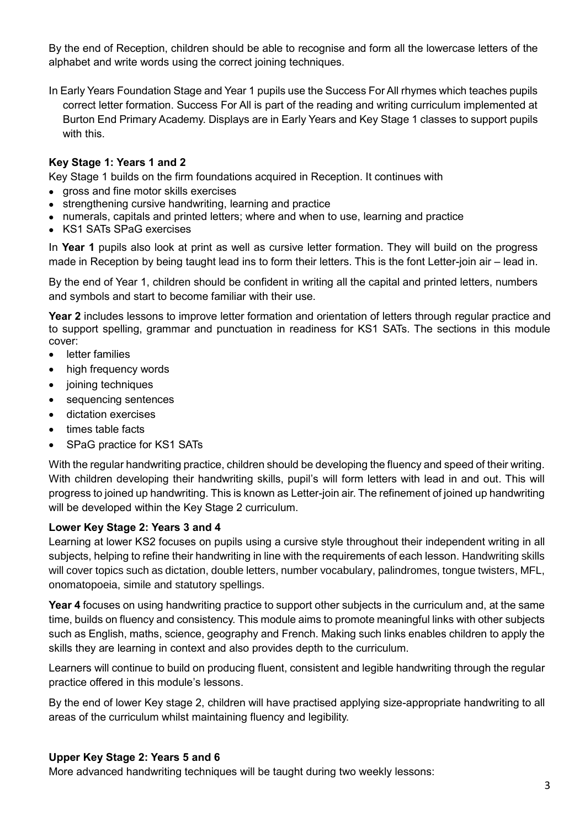By the end of Reception, children should be able to recognise and form all the lowercase letters of the alphabet and write words using the correct joining techniques.

In Early Years Foundation Stage and Year 1 pupils use the Success For All rhymes which teaches pupils correct letter formation. Success For All is part of the reading and writing curriculum implemented at Burton End Primary Academy. Displays are in Early Years and Key Stage 1 classes to support pupils with this.

# **Key Stage 1: Years 1 and 2**

Key Stage 1 builds on the firm foundations acquired in Reception. It continues with

- gross and fine motor skills exercises
- strengthening cursive handwriting, learning and practice
- numerals, capitals and printed letters; where and when to use, learning and practice
- KS1 SATs SPaG exercises

In **Year 1** pupils also look at print as well as cursive letter formation. They will build on the progress made in Reception by being taught lead ins to form their letters. This is the font Letter-join air – lead in.

By the end of Year 1, children should be confident in writing all the capital and printed letters, numbers and symbols and start to become familiar with their use.

**Year 2** includes lessons to improve letter formation and orientation of letters through regular practice and to support spelling, grammar and punctuation in readiness for KS1 SATs. The sections in this module cover:

- **•** letter families
- high frequency words
- joining techniques
- sequencing sentences
- dictation exercises
- times table facts
- SPaG practice for KS1 SATs

With the regular handwriting practice, children should be developing the fluency and speed of their writing. With children developing their handwriting skills, pupil's will form letters with lead in and out. This will progress to joined up handwriting. This is known as Letter-join air. The refinement of joined up handwriting will be developed within the Key Stage 2 curriculum.

#### **Lower Key Stage 2: Years 3 and 4**

Learning at lower KS2 focuses on pupils using a cursive style throughout their independent writing in all subjects, helping to refine their handwriting in line with the requirements of each lesson. Handwriting skills will cover topics such as dictation, double letters, number vocabulary, palindromes, tongue twisters, MFL, onomatopoeia, simile and statutory spellings.

**Year 4** focuses on using handwriting practice to support other subjects in the curriculum and, at the same time, builds on fluency and consistency. This module aims to promote meaningful links with other subjects such as English, maths, science, geography and French. Making such links enables children to apply the skills they are learning in context and also provides depth to the curriculum.

Learners will continue to build on producing fluent, consistent and legible handwriting through the regular practice offered in this module's lessons.

By the end of lower Key stage 2, children will have practised applying size-appropriate handwriting to all areas of the curriculum whilst maintaining fluency and legibility.

#### **Upper Key Stage 2: Years 5 and 6**

More advanced handwriting techniques will be taught during two weekly lessons: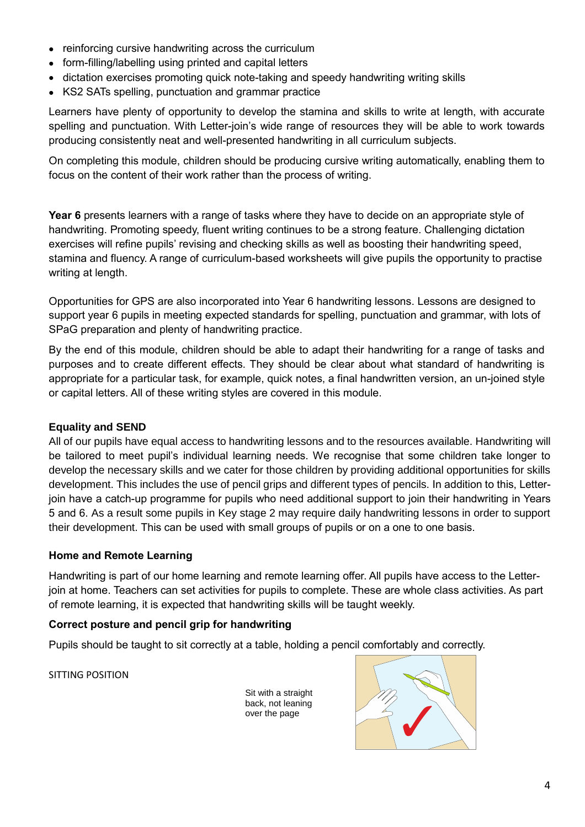- reinforcing cursive handwriting across the curriculum
- form-filling/labelling using printed and capital letters
- dictation exercises promoting quick note-taking and speedy handwriting writing skills
- KS2 SATs spelling, punctuation and grammar practice

Learners have plenty of opportunity to develop the stamina and skills to write at length, with accurate spelling and punctuation. With Letter-join's wide range of resources they will be able to work towards producing consistently neat and well-presented handwriting in all curriculum subjects.

On completing this module, children should be producing cursive writing automatically, enabling them to focus on the content of their work rather than the process of writing.

**Year 6** presents learners with a range of tasks where they have to decide on an appropriate style of handwriting. Promoting speedy, fluent writing continues to be a strong feature. Challenging dictation exercises will refine pupils' revising and checking skills as well as boosting their handwriting speed, stamina and fluency. A range of curriculum-based worksheets will give pupils the opportunity to practise writing at length.

Opportunities for GPS are also incorporated into Year 6 handwriting lessons. Lessons are designed to support year 6 pupils in meeting expected standards for spelling, punctuation and grammar, with lots of SPaG preparation and plenty of handwriting practice.

By the end of this module, children should be able to adapt their handwriting for a range of tasks and purposes and to create different effects. They should be clear about what standard of handwriting is appropriate for a particular task, for example, quick notes, a final handwritten version, an un-joined style or capital letters. All of these writing styles are covered in this module.

# **Equality and SEND**

All of our pupils have equal access to handwriting lessons and to the resources available. Handwriting will be tailored to meet pupil's individual learning needs. We recognise that some children take longer to develop the necessary skills and we cater for those children by providing additional opportunities for skills development. This includes the use of pencil grips and different types of pencils. In addition to this, Letterjoin have a catch-up programme for pupils who need additional support to join their handwriting in Years 5 and 6. As a result some pupils in Key stage 2 may require daily handwriting lessons in order to support their development. This can be used with small groups of pupils or on a one to one basis.

# **Home and Remote Learning**

Handwriting is part of our home learning and remote learning offer. All pupils have access to the Letterjoin at home. Teachers can set activities for pupils to complete. These are whole class activities. As part of remote learning, it is expected that handwriting skills will be taught weekly.

#### **Correct posture and pencil grip for handwriting**

Pupils should be taught to sit correctly at a table, holding a pencil comfortably and correctly.

SITTING POSITION

Sit with a straight back, not leaning over the page

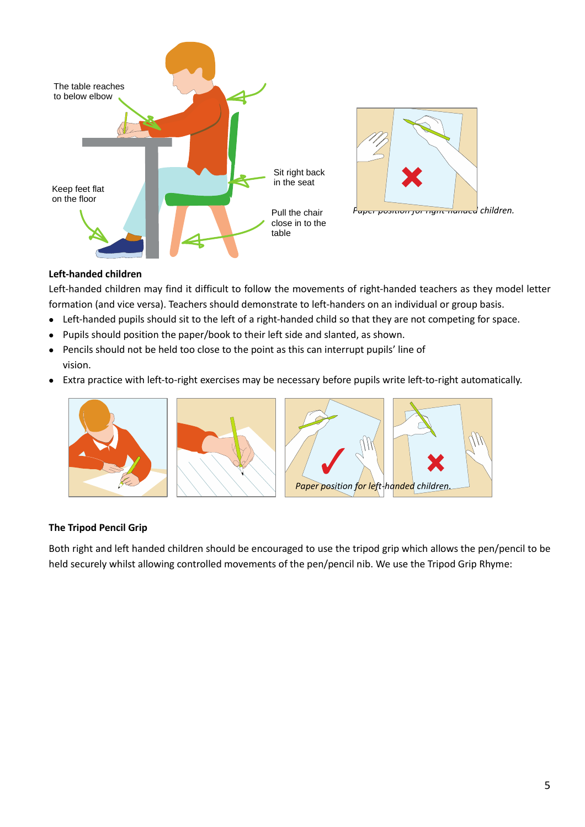



# **Left-handed children**

Left-handed children may find it difficult to follow the movements of right-handed teachers as they model letter formation (and vice versa). Teachers should demonstrate to left-handers on an individual or group basis.

- Left-handed pupils should sit to the left of a right-handed child so that they are not competing for space.
- Pupils should position the paper/book to their left side and slanted, as shown.
- Pencils should not be held too close to the point as this can interrupt pupils' line of vision.
- Extra practice with left-to-right exercises may be necessary before pupils write left-to-right automatically.



#### **The Tripod Pencil Grip**

Both right and left handed children should be encouraged to use the tripod grip which allows the pen/pencil to be held securely whilst allowing controlled movements of the pen/pencil nib. We use the Tripod Grip Rhyme: